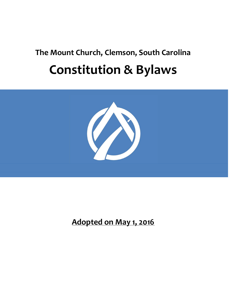# The Mount Church, Clemson, South Carolina Constitution & Bylaws



Adopted on May 1, 2016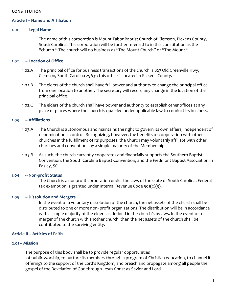## **CONSTITUTION**

## Article I – Name and Affiliation

#### 1.01 – Legal Name

The name of this corporation is Mount Tabor Baptist Church of Clemson, Pickens County, South Carolina. This corporation will be further referred to in this constitution as the "church." The church will do business as "The Mount Church" or "The Mount."

## 1.02 – Location of Office

- 1.02.A The principal office for business transactions of the church is 827 Old Greenville Hwy, Clemson, South Carolina 29631; this office is located in Pickens County.
- 1.02.B The elders of the church shall have full power and authority to change the principal office from one location to another. The secretary will record any change in the location of the principal office.
- 1.02.C The elders of the church shall have power and authority to establish other offices at any place or places where the church is qualified under applicable law to conduct its business.

#### 1.03 – Affiliations

- 1.03.A The Church is autonomous and maintains the right to govern its own affairs, independent of denominational control. Recognizing, however, the benefits of cooperation with other churches in the fulfillment of its purposes, the Church may voluntarily affiliate with other churches and conventions by a simple majority of the Membership.
- 1.03.B As such, the church currently cooperates and financially supports the Southern Baptist Convention, the South Carolina Baptist Convention, and the Piedmont Baptist Association in Easley, SC.

#### 1.04 -- Non-profit Status

The Church is a nonprofit corporation under the laws of the state of South Carolina. Federal tax exemption is granted under Internal Revenue Code 501(c)(3).

#### 1.05 – Dissolution and Mergers

In the event of a voluntary dissolution of the church, the net assets of the church shall be distributed to one or more non- profit organizations. The distribution will be in accordance with a simple majority of the elders as defined in the church's bylaws. In the event of a merger of the church with another church, then the net assets of the church shall be contributed to the surviving entity.

## Article II – Articles of Faith

#### 2.01 – Mission

The purpose of this body shall be to provide regular opportunities of public worship, to nurture its members through a program of Christian education, to channel its offerings to the support of the Lord's Kingdom, and preach and propagate among all people the gospel of the Revelation of God through Jesus Christ as Savior and Lord.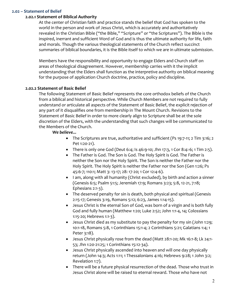### 2.02 – Statement of Belief

## 2.02.1 Statement of Biblical Authority

At the center of Christian faith and practice stands the belief that God has spoken to the world in the person and work of Jesus Christ, which is accurately and authoritatively revealed in the Christian Bible ("the Bible," "Scripture" or "the Scriptures"). The Bible is the inspired, inerrant and sufficient Word of God and is thus the ultimate authority for life, faith and morals. Though the various theological statements of the Church reflect succinct summaries of biblical boundaries, it is the Bible itself to which we are in ultimate submission.

Members have the responsibility and opportunity to engage Elders and Church staff on areas of theological disagreement. However, membership carries with it the implicit understanding that the Elders shall function as the interpretive authority on biblical meaning for the purpose of application Church doctrine, practice, policy and discipline.

## 2.02.2 Statement of Basic Belief

The following Statement of Basic Belief represents the core orthodox beliefs of the Church from a biblical and historical perspective. While Church Members are not required to fully understand or articulate all aspects of the Statement of Basic Belief, the explicit rejection of any part of it disqualifies one from membership in The Mount Church. Revisions to the Statement of Basic Belief in order to more clearly align to Scripture shall be at the sole discretion of the Elders, with the understanding that such changes will be communicated to the Members of the Church.

## We believe...

- The Scriptures are true, authoritative and sufficient (Ps 19:7-11; 2 Tim 3:16; 2 Pet 1:20-21).
- There is only one God (Deut 6:4; Is 46:9-10; Jhn 17:3, 1 Cor 8:4:-6; 1 Tim 2:5).
- The Father is God. The Son is God. The Holy Spirit is God. The Father is neither the Son nor the Holy Spirit. The Son is neither the Father nor the Holy Spirit. The Holy Spirit is neither the Father nor the Son (Gen 1:26; Ps 45:6-7; 110:1; Matt 3: 13-17; 28: 17-20; 1 Cor 12:4-6).
- I am, along with all humanity (Christ excluded), by birth and action a sinner (Genesis 6:5; Psalm 51:5; Jeremiah 17:9; Romans 3:23; 5:8, 12-21, 7:18; Ephesians 2:1-3).
- The deserved penalty for sin is death, both physical and spiritual (Genesis 2:15-17; Genesis 3:19, Romans 5:12; 6:23, James 1:14-15).
- Jesus Christ is the eternal Son of God, was born of a virgin and is both fully God and fully human (Matthew 1:20; Luke 2:52; John 1:1-4, 14; Colossians 1:15-20; Hebrews 1:1-3).
- Jesus Christ died as my substitute to pay the penalty for my sin (John 1:29; 10:1-18, Romans 5:8, 1 Corinthians 15:1-4; 2 Corinthians 5:21; Galatians 1:4; 1 Peter 3:18).
- Jesus Christ physically rose from the dead (Matt 28:1-20; Mk 16:1-8; Lk 24:1- 53; Jhn 1:20-21:25; 1 Corinthians 15:12-34).
- Jesus Christ physically ascended into heaven and will one day physically return (John 14:3; Acts 1:11; 1 Thessalonians 4:16; Hebrews 9:28; 1 John 3:2; Revelation 1:7).
- There will be a future physical resurrection of the dead. Those who trust in Jesus Christ alone will be raised to eternal reward. Those who have not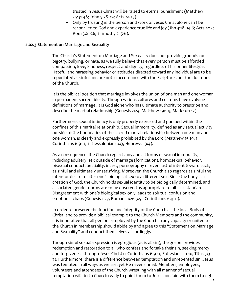trusted in Jesus Christ will be raised to eternal punishment (Matthew 25:31-46; John 5:28-29; Acts 24-15).

 Only by trusting in the person and work of Jesus Christ alone can I be reconciled to God and experience true life and joy (Jhn 3:18, 14:6; Acts 4:12; Rom 3:21-26; 1 Timothy 2: 5-6).

#### 2.02.3 Statement on Marriage and Sexuality

The Church's Statement on Marriage and Sexuality does not provide grounds for bigotry, bullying, or hate, as we fully believe that every person must be afforded compassion, love, kindness, respect and dignity, regardless of his or her lifestyle. Hateful and harassing behavior or attitudes directed toward any individual are to be repudiated as sinful and are not in accordance with the Scriptures nor the doctrines of the Church.

It is the biblical position that marriage involves the union of one man and one woman in permanent sacred fidelity. Though various cultures and customs have evolving definitions of marriage, it is God alone who has ultimate authority to prescribe and describe the marital relationship (Genesis 2:24, Matthew 19:1-9, Mark 10:1-12).

Furthermore, sexual intimacy is only properly exercised and pursued within the confines of this marital relationship. Sexual immorality, defined as any sexual activity outside of the boundaries of the sacred marital relationship between one man and one woman, is clearly and expressly prohibited by the Lord (Matthew 15:19, 1 Corinthians 6:9-11, 1 Thessalonians 4:3, Hebrews 13:4).

As a consequence, the Church regards any and all forms of sexual immorality, including adultery, sex outside of marriage (fornication), homosexual behavior, bisexual conduct, bestiality, incest, pornography or even lustful intent toward such, as sinful and ultimately unsatisfying. Moreover, the Church also regards as sinful the intent or desire to alter one's biological sex to a different sex. Since the body is a creation of God, the Church holds sexual identity to be biologically determined, and associated gender norms are to be observed as appropriate to biblical standards. Disagreement with one's biological sex only leads to spiritual confusion and emotional chaos (Genesis 1:27, Romans 1:26-32, 1 Corinthians 6:9-11).

In order to preserve the function and integrity of the Church as the local Body of Christ, and to provide a biblical example to the Church Members and the community, it is imperative that all persons employed by the Church in any capacity or united to the Church in membership should abide by and agree to this "Statement on Marriage and Sexuality" and conduct themselves accordingly.

Though sinful sexual expression is egregious (as is all sin), the gospel provides redemption and restoration to all who confess and forsake their sin, seeking mercy and forgiveness through Jesus Christ (1 Corinthians 6:9-11, Ephesians 2:1-10, Titus 3:3- 7). Furthermore, there is a difference between temptation and unrepented sin. Jesus was tempted in all ways as we are, yet He never sinned. Members, employees, volunteers and attendees of the Church wrestling with all manner of sexual temptation will find a Church ready to point them to Jesus and join with them to fight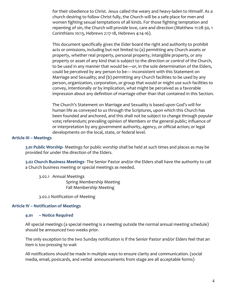for their obedience to Christ. Jesus called the weary and heavy-laden to Himself. As a church desiring to follow Christ fully, the Church will be a safe place for men and women fighting sexual temptations of all kinds. For those fighting temptation and repenting of sin, the Church will provide love, care and direction (Matthew 11:28-30, 1 Corinthians 10:13, Hebrews 2:17-18, Hebrews 4:14-16).

This document specifically gives the Elder board the right and authority to prohibit acts or omissions, including but not limited to (a) permitting any Church assets or property, whether real property, personal property, intangible property, or any property or asset of any kind that is subject to the direction or control of the Church, to be used in any manner that would be—or, in the sole determination of the Elders, could be perceived by any person to be— inconsistent with this Statement on Marriage and Sexuality; and (b) permitting any Church facilities to be used by any person, organization, corporation, or group that would or might use such facilities to convey, intentionally or by implication, what might be perceived as a favorable impression about any definition of marriage other than that contained in this Section.

The Church's Statement on Marriage and Sexuality is based upon God's will for human life as conveyed to us through the Scriptures, upon which this Church has been founded and anchored, and this shall not be subject to change through popular vote; referendum; prevailing opinion of Members or the general public; influence of or interpretation by any government authority, agency, or official action; or legal developments on the local, state, or federal level.

## Article III – Meetings

3.01 Public Worship- Meetings for public worship shall be held at such times and places as may be provided for under the direction of the Elders.

3.02 Church Business Meetings- The Senior Pastor and/or the Elders shall have the authority to call a Church business meeting or special meetings as needed.

3.02.1 Annual Meetings Spring Membership Meeting Fall Membership Meeting

3.02.2 Notification of Meeting

## Article IV – Notification of Meetings

#### 4.01 – Notice Required

All special meetings (a special meeting is a meeting outside the normal annual meeting schedule) should be announced two weeks prior.

The only exception to the two Sunday notification is if the Senior Pastor and/or Elders feel that an item is too pressing to wait

All notifications should be made in multiple ways to ensure clarity and communication. (social media, email, postcards, and verbal announcements from stage are all acceptable forms)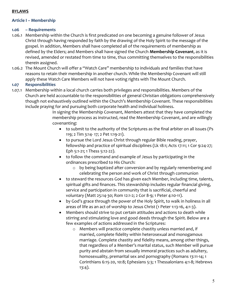## BYLAWS

## Article I – Membership

## 1.06 – Requirements

- 1.06.1 Membership within the Church is first predicated on one becoming a genuine follower of Jesus Christ through having responded by faith by the drawing of the Holy Spirit to the message of the gospel. In addition, Members shall have completed all of the requirements of membership as defined by the Elders; and Members shall have signed the Church Membership Covenant, as it is revised, amended or restated from time to time, thus committing themselves to the responsibilities therein assigned.
- 1.06.2 The Mount Church will offer a "Watch Care" membership to individuals and families that have reasons to retain their membership in another church. While the Membership Covenant will still apply these Watch Care Members will not have voting rights with The Mount Church.

## 1.07 Responsibilities

1.07.1 Membership within a local church carries both privileges and responsibilities. Members of the Church are held accountable to the responsibilities of general Christian obligations comprehensively though not exhaustively outlined within the Church's Membership Covenant. These responsibilities include praying for and pursuing both corporate health and individual holiness.

> In signing the Membership Covenant, Members attest that they have completed the membership process as instructed, read the Membership Covenant, and are willingly covenanting:

- to submit to the authority of the Scriptures as the final arbiter on all issues (Ps 119; 2 Tim 3:14- 17; 2 Pet 1:19-21).
- to pursue the Lord Jesus Christ through regular Bible reading, prayer, fellowship and practice of spiritual disciplines (Lk 18:1; Acts 17:11; 1 Cor 9:24-27; Eph 5:1-21; 1 Thess 5:12-22).
- to follow the command and example of Jesus by participating in the ordinances prescribed to His Church:
	- o by being baptized after conversion and by regularly remembering and celebrating the person and work of Christ through communion
- to steward the resources God has given each Member, including time, talents, spiritual gifts and finances. This stewardship includes regular financial giving, service and participation in community that is sacrificial, cheerful and voluntary (Matt 25:14-30; Rom 12:1-2; 2 Cor 8-9; 1 Peter 4:10-11).
- by God's grace through the power of the Holy Spirit, to walk in holiness in all areas of life as an act of worship to Jesus Christ (1 Peter 1:13-16, 4:1-3).
- Members should strive to put certain attitudes and actions to death while stirring and stimulating love and good deeds through the Spirit. Below are a few examples of actions addressed in the Scriptures:
	- o Members will practice complete chastity unless married and, if married, complete fidelity within heterosexual and monogamous marriage. Complete chastity and fidelity means, among other things, that regardless of a Member's marital status, such Member will pursue purity and abstain from sexually immoral practices such as adultery, homosexuality, premarital sex and pornography (Romans 13:11-14; 1 Corinthians 6:15-20, 10:8; Ephesians 5:3; 1 Thessalonians 4:1-8; Hebrews 13:4).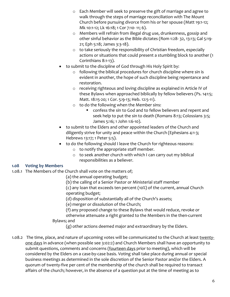- o Each Member will seek to preserve the gift of marriage and agree to walk through the steps of marriage reconciliation with The Mount Church before pursuing divorce from his or her spouse (Matt 19:1-12; Mk 10:1-12; Lk 16:18; 1 Cor 7:10- 11; 6).
- o Members will refrain from illegal drug use, drunkenness, gossip and other sinful behavior as the Bible dictates (Rom 1:28- 32, 13:13; Gal 5:19- 21; Eph 5:18; James 3:3-18).
- o to take seriously the responsibility of Christian freedom, especially actions or situations that could present a stumbling block to another (1 Corinthians 8:1-13).
- to submit to the discipline of God through His Holy Spirit by:
	- o following the biblical procedures for church discipline where sin is evident in another, the hope of such discipline being repentance and restoration.
	- o receiving righteous and loving discipline as explained in Article IV of these Bylaws when approached biblically by fellow believers (Ps. 141:5; Matt. 18:15-20; 1 Cor. 5:9-13; Heb. 12:5-11).
	- o to do the following when the Member sins:
		- confess the sin to God and to fellow believers and repent and seek help to put the sin to death (Romans 8:13; Colossians 3:5; James 5:16; 1 John 1:6-10).
- to submit to the Elders and other appointed leaders of the Church and diligently strive for unity and peace within the Church (Ephesians 4:1-3; Hebrews 13:17; 1 Peter 5:5).
- to do the following should I leave the Church for righteous reasons:
	- o to notify the appropriate staff member.
	- o to seek another church with which I can carry out my biblical responsibilities as a believer.

## 1.08 Voting by Members

- 1.08.1 The Members of the Church shall vote on the matters of;
	- (a) the annual operating budget;
	- (b) the calling of a Senior Pastor or Ministerial staff member
	- (c) any loan that exceeds ten percent (10%) of the current, annual Church operating budget;
	- (d) disposition of substantially all of the Church's assets;
	- (e) merger or dissolution of the Church;
	- (f) any proposed change to these Bylaws that would reduce, revoke or
	- otherwise attenuate a right granted to the Members in the then-current Bylaws; and
		- (g) other actions deemed major and extraordinary by the Elders.
- 1.08.2 The time, place, and nature of upcoming votes will be communicated to the Church at least twentyone days in advance (when possible see 3:02:2) and Church Members shall have an opportunity to submit questions, comments and concerns (fourteen days prior to meeting), which will be considered by the Elders on a case-by-case basis. Voting shall take place during annual or special business meetings as determined in the sole discretion of the Senior Pastor and/or the Elders. A quorum of twenty-five per cent of the membership of the church shall be required to transact affairs of the church; however, in the absence of a question put at the time of meeting as to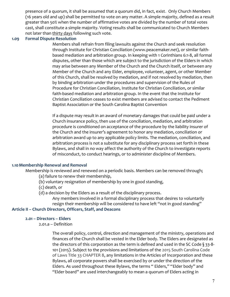presence of a quorum, it shall be assumed that a quorum did, in fact, exist. Only Church Members (16 years old and up) shall be permitted to vote on any matter. A simple majority, defined as a result greater than 50% when the number of affirmative votes are divided by the number of total votes cast, shall constitute a simple majority. Voting results shall be communicated to Church Members not later than thirty days following such vote.

## 1.09 Formal Dispute Resolution

Members shall refrain from filing lawsuits against the Church and seek resolution through Institute for Christian Conciliation (www.peacemaker.net), or similar faithbased mediation and arbitration group. In keeping with 1 Corinthians 6:1-8, all formal disputes, other than those which are subject to the jurisdiction of the Elders in which may arise between any Member of the Church and the Church itself, or between any Member of the Church and any Elder, employee, volunteer, agent, or other Member of this Church, shall be resolved by mediation, and if not resolved by mediation, then by binding arbitration under the procedures and supervision of the Rules of Procedure for Christian Conciliation, Institute for Christian Conciliation, or similar faith-based mediation and arbitration group. In the event that the Institute for Christian Conciliation ceases to exist members are advised to contact the Pediment Baptist Association or the South Carolina Baptist Convention

If a dispute may result in an award of monetary damages that could be paid under a Church insurance policy, then use of the conciliation, mediation, and arbitration procedure is conditioned on acceptance of the procedure by the liability insurer of the Church and the insurer's agreement to honor any mediation, conciliation or arbitration award up to any applicable policy limits. The mediation, conciliation, and arbitration process is not a substitute for any disciplinary process set forth in these Bylaws, and shall in no way affect the authority of the Church to investigate reports of misconduct, to conduct hearings, or to administer discipline of Members.

## 1.10Membership Renewal and Removal

Membership is reviewed and renewed on a periodic basis. Members can be removed through;

(a) failure to renew their membership,

- (b) voluntary resignation of membership by one in good standing,
- (c) death, or
- (d) a decision by the Elders as a result of the disciplinary process.
	- Any members involved in a formal disciplinary process that desires to voluntarily resign their membership will be considered to have left "not in good standing"

## Article II – Church Directors, Officers, Staff, and Deacons

## 2.01 – Directors – Elders

2.01.a – Definition

The overall policy, control, direction and management of the ministry, operations and finances of the Church shall be vested in the Elder body. The Elders are designated as the directors of this corporation as the term is defined and used in the SC Code  $\S$  33-8-101 (2015). Subject to the provisions and limitations of the 2015 South Carolina Code of Laws Title 33 CHAPTER 8, any limitations in the Articles of Incorporation and these Bylaws, all corporate powers shall be exercised by or under the direction of the Elders. As used throughout these Bylaws, the terms " Elders," "Elder body" and "Elder board" are used interchangeably to mean a quorum of Elders acting in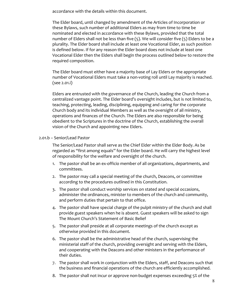accordance with the details within this document.

The Elder board, until changed by amendment of the Articles of Incorporation or these Bylaws, such number of additional Elders as may from time to time be nominated and elected in accordance with these Bylaws, provided that the total number of Elders shall not be less than five (5). We will consider five (5) Elders to be a plurality. The Elder board shall include at least one Vocational Elder, as such position is defined below. If for any reason the Elder board does not include at least one Vocational Elder then the Elders shall begin the process outlined below to restore the required composition.

The Elder board must either have a majority base of Lay Elders or the appropriate number of Vocational Elders must take a non-voting roll until Lay majority is reached. (see 2.01.i)

Elders are entrusted with the governance of the Church, leading the Church from a centralized vantage point. The Elder board's oversight includes, but is not limited to, teaching, protecting, leading, disciplining, equipping and caring for the corporate Church body and its individual Members as well as the oversight of all ministry, operations and finances of the Church. The Elders are also responsible for being obedient to the Scriptures in the doctrine of the Church, establishing the overall vision of the Church and appointing new Elders.

## 2.01.b – Senior/Lead Pastor

The Senior/Lead Pastor shall serve as the Chief Elder within the Elder Body. As be regarded as "first among equals" for the Elder board. He will carry the highest level of responsibility for the welfare and oversight of the church.

- 1. The pastor shall be an ex-officio member of all organizations, departments, and committees.
- 2. The pastor may call a special meeting of the church, Deacons, or committee according to the procedures outlined in this Constitution.
- 3. The pastor shall conduct worship services on stated and special occasions, administer the ordinances, minister to members of the church and community, and perform duties that pertain to that office.
- 4. The pastor shall have special charge of the pulpit ministry of the church and shall provide guest speakers when he is absent. Guest speakers will be asked to sign The Mount Church's Statement of Basic Belief
- 5. The pastor shall preside at all corporate meetings of the church except as otherwise provided in this document.
- 6. The pastor shall be the administrative head of the church, supervising the ministerial staff of the church, providing oversight and serving with the Elders, and cooperating with the Deacons and other ministers in the performance of their duties.
- 7. The pastor shall work in conjunction with the Elders, staff, and Deacons such that the business and financial operations of the church are efficiently accomplished.
- 8. The pastor shall not incur or approve non-budget expenses exceeding 5% of the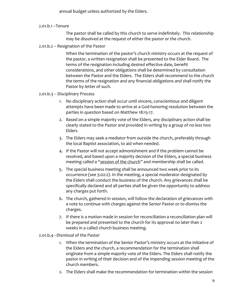annual budget unless authorized by the Elders.

## 2.01.b.1 --Tenure

The pastor shall be called by this church to serve indefinitely. This relationship may be dissolved at the request of either the pastor or the church.

## 2.01.b.2 -- Resignation of the Pastor

When the termination of the pastor's church ministry occurs at the request of the pastor, a written resignation shall be presented to the Elder Board. The terms of the resignation including desired effective date, benefit considerations, and other obligations shall be determined by consultation between the Pastor and the Elders. The Elders shall recommend to the church the terms of the resignation and any financial obligations and shall notify the Pastor by letter of such.

## 2.01.b.3 -- Disciplinary Process

- 1. No disciplinary action shall occur until sincere, conscientious and diligent attempts have been made to arrive at a God-honoring resolution between the parties in question based on Matthew 18:15-17.
- 2. Based on a simple majority vote of the Elders, any disciplinary action shall be clearly stated to the Pastor and provided in writing by a group of no less two Elders
- 3. The Elders may seek a mediator from outside the church, preferably through the local Baptist association, to aid when needed.
- 4. If the Pastor will not accept admonishment and if the problem cannot be resolved, and based upon a majority decision of the Elders, a special business meeting called a "session of the church" and membership shall be called.
- 5. The special business meeting shall be announced two week prior to its occurrence (see 3:02:2). In the meeting, a special moderator designated by the Elders shall conduct the business of the church. Any grievances shall be specifically declared and all parties shall be given the opportunity to address any charges put forth.
- 6. The church, gathered in session, will follow the declaration of grievances with a vote to continue with charges against the Senior Pastor or to dismiss the charges.
- 7. If there is a motion made in session for reconciliation a reconciliation plan will be prepared and presented to the church for its approval no later than 2 weeks in a called church business meeting.

## 2.o1.b.4 --Dismissal of the Pastor

- 1. When the termination of the Senior Pastor's ministry occurs at the initiative of the Elders and the church, a recommendation for the termination shall originate from a simple majority vote of the Elders. The Elders shall notify the pastor in writing of their decision and of the impending session meeting of the church members.
- 2. The Elders shall make the recommendation for termination within the session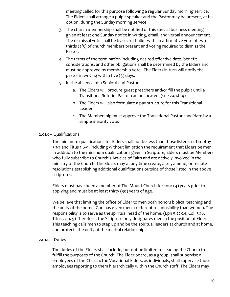meeting called for this purpose following a regular Sunday morning service. The Elders shall arrange a pulpit speaker and the Pastor may be present, at his option, during the Sunday morning service.

- 3. The church membership shall be notified of this special business meeting given at least one Sunday notice in writing, email, and verbal announcement. The dismissal vote shall be by secret ballot with an affirmative vote of twothirds (2/3) of church members present and voting required to dismiss the Pastor.
- 4. The terms of the termination including desired effective date, benefit considerations, and other obligations shall be determined by the Elders and must be approved by membership vote. The Elders in turn will notify the pastor in writing within five (5) days.
- 5. In the absence of a Senior/Lead Pastor
	- a. The Elders will procure guest preachers and/or fill the pulpit until a Transitional/Interim Pastor can be located. (see 2.01.b.4)
	- b. The Elders will also formulate a pay structure for this Transitional Leader.
	- c. The Membership must approve the Transitional Pastor candidate by a simple majority vote.

## 2.01.c – Qualifications

The minimum qualifications for Elders shall not be less than those listed in 1 Timothy 3:1-7 and Titus 1:6-9, including without limitation the requirement that Elders be men. In addition to the minimum qualifications given in Scripture, Elders must be Members who fully subscribe to Church's Articles of Faith and are actively involved in the ministry of the Church. The Elders may at any time create, alter, amend, or restate resolutions establishing additional qualifications outside of those listed in the above scriptures.

Elders must have been a member of The Mount Church for four (4) years prior to applying and must be at least thirty (30) years of age.

We believe that limiting the office of Elder to men both honors biblical teaching and the unity of the home. God has given men a different responsibility than women. The responsibility is to serve as the spiritual head of the home. (Eph 5:22-24, Col. 3:18, Titus 2:1,4-5) Therefore, the Scripture only designates men in the position of Elder. This teaching calls men to step up and be the spiritual leaders at church and at home, and protects the unity of the marital relationship.

## 2.01.d – Duties

The duties of the Elders shall include, but not be limited to, leading the Church to fulfill the purposes of the Church. The Elder board, as a group, shall supervise all employees of the Church; the Vocational Elders, as individuals, shall supervise those employees reporting to them hierarchically within the Church staff. The Elders may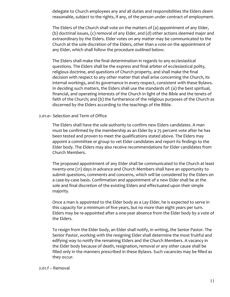delegate to Church employees any and all duties and responsibilities the Elders deem reasonable, subject to the rights, if any, of the person under contract of employment.

The Elders of the Church shall vote on the matters of (a) appointment of any Elder, (b) doctrinal issues, (c) removal of any Elder, and (d) other actions deemed major and extraordinary by the Elders. Elder votes on any matter may be communicated to the Church at the sole discretion of the Elders, other than a vote on the appointment of any Elder, which shall follow the procedure outlined below.

The Elders shall make the final determination in regards to any ecclesiastical questions. The Elders shall be the express and final arbiter of ecclesiastical polity, religious doctrine, and questions of Church property, and shall make the final decision with respect to any other matter that shall arise concerning the Church, its internal workings, and its governance in every respect, consistent with these Bylaws. In deciding such matters, the Elders shall use the standards of: (a) the best spiritual, financial, and operating interests of the Church in light of the Bible and the tenets of faith of the Church; and (b) the furtherance of the religious purposes of the Church as discerned by the Elders according to the teachings of the Bible.

#### 2.01.e– Selection and Term of Office

The Elders shall have the sole authority to confirm new Elders candidates. A man must be confirmed by the membership as an Elder by a 75 percent vote after he has been tested and proven to meet the qualifications stated above. The Elders may appoint a committee or group to vet Elder candidates and report its findings to the Elder body. The Elders may also receive recommendations for Elder candidates from Church Members.

The proposed appointment of any Elder shall be communicated to the Church at least twenty-one (21) days in advance and Church Members shall have an opportunity to submit questions, comments and concerns, which will be considered by the Elders on a case-by-case basis. Confirmation and appointment of a new Elder shall be at the sole and final discretion of the existing Elders and effectuated upon their simple majority.

Once a man is appointed to the Elder body as a Lay Elder, he is expected to serve in this capacity for a minimum of five years, but no more than eight years per turn. Elders may be re-appointed after a one-year absence from the Elder body by a vote of the Elders.

To resign from the Elder body, an Elder shall notify, in writing, the Senior Pastor. The Senior Pastor, working with the resigning Elder shall determine the most fruitful and edifying way to notify the remaining Elders and the Church Members. A vacancy in the Elder body because of death, resignation, removal or any other cause shall be filled only in the manners prescribed in these Bylaws. Such vacancies may be filled as they occur.

#### 2.01.f – Removal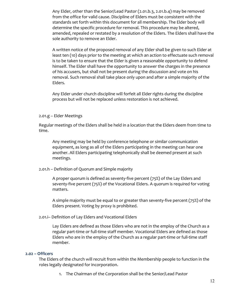Any Elder, other than the Senior/Lead Pastor (2.01.b.3, 2.01.b.4) may be removed from the office for valid cause. Discipline of Elders must be consistent with the standards set forth within this document for all membership. The Elder body will determine the specific procedure for removal. This procedure may be altered, amended, repealed or restated by a resolution of the Elders. The Elders shall have the sole authority to remove an Elder.

A written notice of the proposed removal of any Elder shall be given to such Elder at least ten (10) days prior to the meeting at which an action to effectuate such removal is to be taken to ensure that the Elder is given a reasonable opportunity to defend himself. The Elder shall have the opportunity to answer the charges in the presence of his accusers, but shall not be present during the discussion and vote on his removal. Such removal shall take place only upon and after a simple majority of the Elders.

Any Elder under church discipline will forfeit all Elder rights during the discipline process but will not be replaced unless restoration is not achieved.

#### 2.01.g – Elder Meetings

Regular meetings of the Elders shall be held in a location that the Elders deem from time to time.

Any meeting may be held by conference telephone or similar communication equipment, as long as all of the Elders participating in the meeting can hear one another. All Elders participating telephonically shall be deemed present at such meetings.

2.01.h – Definition of Quorum and Simple majority

A proper quorum is defined as seventy-five percent (75%) of the Lay Elders and seventy-five percent (75%) of the Vocational Elders. A quorum is required for voting matters.

A simple majority must be equal to or greater than seventy-five percent (75%) of the Elders present. Voting by proxy is prohibited.

2.01.i– Definition of Lay Elders and Vocational Elders

Lay Elders are defined as those Elders who are not in the employ of the Church as a regular part-time or full-time staff member. Vocational Elders are defined as those Elders who are in the employ of the Church as a regular part-time or full-time staff member.

#### 2.02 – Officers

 The Elders of the church will recruit from within the Membership people to function in the roles legally designated for incorporation.

1. The Chairman of the Corporation shall be the Senior/Lead Pastor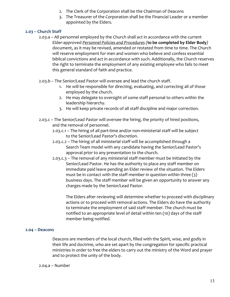- 2. The Clerk of the Corporation shall be the Chairman of Deacons
- 3. The Treasurer of the Corporation shall be the Financial Leader or a member appointed by the Elders.

## 2.03 – Church Staff

- 2.03.a All personnel employed by the Church shall act in accordance with the current Elder-approved Personnel Policies and Procedures (to be completed by Elder Body) document, as it may be revised, amended or restated from time to time. The Church will reserve employment for men and women who believe and confess essential biblical convictions and act in accordance with such. Additionally, the Church reserves the right to terminate the employment of any existing employee who fails to meet this general standard of faith and practice.
- 2.03.b The Senior/Lead Pastor will oversee and lead the church staff.
	- 1. He will be responsible for directing, evaluating, and correcting all of those employed by the church.
	- 2. He may delegate to oversight of some staff personal to others within the leadership hierarchy.
	- 3. He will keep private records of all staff discipline and major correction.
- 2.03.c The Senior/Lead Pastor will oversee the hiring, the priority of hired positions, and the removal of personnel.
	- 2.03.c.1 The hiring of all part-time and/or non-ministerial staff will be subject to the Senior/Lead Pastor's discretion.
	- 2.03.c.2 The hiring of all ministerial staff will be accomplished through a Search Team model with any candidate having the Senior/Lead Pastor's approval prior to any presentation to the church.
	- 2.03.c.3 The removal of any ministerial staff member must be initiated by the Senior/Lead Pastor. He has the authority to place any staff member on immediate paid leave pending an Elder review of the situation. The Elders must be in contact with the staff member in question within three  $(3)$ business days. The staff member will be given an opportunity to answer any charges made by the Senior/Lead Pastor.

The Elders after reviewing will determine whether to proceed with disciplinary actions or to proceed with removal actions. The Elders do have the authority to terminate the employment of said staff member. The church must be notified to an appropriate level of detail within ten (10) days of the staff member being notified.

## 2.04 – Deacons

Deacons are members of the local church, filled with the Spirit, wise, and godly in their life and doctrine, who are set apart by the congregation for specific practical ministries in order to free the elders to carry out the ministry of the Word and prayer and to protect the unity of the body.

#### 2.04.a – Number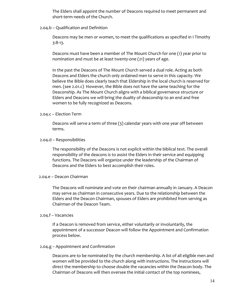The Elders shall appoint the number of Deacons required to meet permanent and short-term needs of the Church.

2.04.b – Qualification and Definition

Deacons may be men or women, to meet the qualifications as specified in I Timothy 3:8-13.

Deacons must have been a member of The Mount Church for one (1) year prior to nomination and must be at least twenty-one (21) years of age.

In the past the Deacons of The Mount Church served a dual role. Acting as both Deacons and Elders the church only ordained men to serve in this capacity. We believe the Bible does clearly teach that Eldership in the local church is reserved for men. (see 2.01.c) However, the Bible does not have the same teaching for the Deaconship. As The Mount Church aligns with a biblical governance structure or Elders and Deacons we will bring the duality of deaconship to an end and free women to be fully recognized as Deacons.

#### 2.04.c – Election Term

Deacons will serve a term of three (3) calendar years with one year off between terms.

#### 2.04.d – Responsibilities

The responsibility of the Deacons is not explicit within the biblical text. The overall responsibility of the deacons is to assist the Elders in their service and equipping functions. The Deacons will organize under the leadership of the Chairman of Deacons and the Elders to best accomplish their roles.

#### 2.04.e – Deacon Chairman

The Deacons will nominate and vote on their chairman annually in January. A Deacon may serve as chairman in consecutive years. Due to the relationship between the Elders and the Deacon Chairman, spouses of Elders are prohibited from serving as Chairman of the Deacon Team.

#### 2.04.f – Vacancies

If a Deacon is removed from service, either voluntarily or involuntarily, the appointment of a successor Deacon will follow the Appointment and Confirmation process below.

#### 2.04.g – Appointment and Confirmation

Deacons are to be nominated by the church membership. A list of all eligible men and women will be provided to the church along with instructions. The instructions will direct the membership to choose double the vacancies within the Deacon body. The Chairman of Deacons will then oversee the initial contact of the top nominees,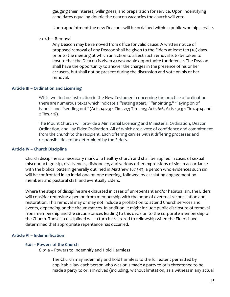gauging their interest, willingness, and preparation for service. Upon indentifying candidates equaling double the deacon vacancies the church will vote.

Upon appointment the new Deacons will be ordained within a public worship service.

2.04.h – Removal

Any Deacon may be removed from office for valid cause. A written notice of proposed removal of any Deacon shall be given to the Elders at least ten (10) days prior to the meeting at which an action to affect such removal is to be taken to ensure that the Deacon is given a reasonable opportunity for defense. The Deacon shall have the opportunity to answer the charges in the presence of his or her accusers, but shall not be present during the discussion and vote on his or her removal.

## Article III – Ordination and Licensing

While we find no instruction in the New Testament concerning the practice of ordination there are numerous texts which indicate a "setting apart," "anointing," "laying on of hands" and "sending out" (Acts 14:23; 1 Tim. 2:7; Titus 1:5; Acts 6:6, Acts 13:3; 1 Tim. 4:14 and 2 Tim. 1:6).

The Mount Church will provide a Ministerial Licensing and Ministerial Ordination, Deacon Ordination, and Lay Elder Ordination. All of which are a vote of confidence and commitment from the church to the recipient. Each offering carries with it differing processes and responsibilities to be determined by the Elders.

#### Article IV – Church Discipline

Church discipline is a necessary mark of a healthy church and shall be applied in cases of sexual misconduct, gossip, divisiveness, dishonesty, and various other expressions of sin. In accordance with the biblical pattern generally outlined in Matthew 18:15-17, a person who evidences such sin will be confronted in an initial one-on-one meeting, followed by escalating engagement by members and pastoral staff and eventually Elders.

Where the steps of discipline are exhausted in cases of unrepentant and/or habitual sin, the Elders will consider removing a person from membership with the hope of eventual reconciliation and restoration. This removal may or may not include a prohibition to attend Church services and events, depending on the circumstances. In addition, it might include public disclosure of removal from membership and the circumstances leading to this decision to the corporate membership of the Church. Those so disciplined will in turn be restored to fellowship when the Elders have determined that appropriate repentance has occurred.

## Article VI – Indemnification

#### 6.01 – Powers of the Church

6.01.a – Powers to Indemnify and Hold Harmless

The Church may indemnify and hold harmless to the full extent permitted by applicable law each person who was or is made a party to or is threatened to be made a party to or is involved (including, without limitation, as a witness in any actual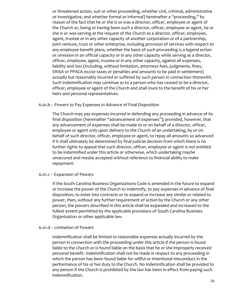or threatened action, suit or other proceeding, whether civil, criminal, administrative or investigative, and whether formal or informal) hereinafter a "proceeding," by reason of the fact that he or she is or was a director, officer, employee or agent of the Church or, being or having been such a director, officer, employee or agent, he or she is or was serving at the request of the Church as a director, officer, employee, agent, trustee or in any other capacity of another corporation or of a partnership, joint venture, trust or other enterprise, including provision of services with respect to any employee benefit plans, whether the basis of such proceeding is a legend action or omission in an official capacity or in any other capacity while serving as a director, officer, employee, agent, trustee or in any other capacity, against all expenses, liability and loss (including, without limitation, attorneys fees, judgments, fines, ERISA or PPACA excise taxes or penalties and amounts to be paid in settlement) actually but reasonably incurred or suffered by such person in connection therewith. Such indemnification may continue as to a person who has ceased to be a director, officer, employee or agent of the Church and shall inure to the benefit of his or her heirs and personal representatives.

#### 6.01.b – Powers to Pay Expenses in Advance of Final Disposition

The Church may pay expenses incurred in defending any proceeding in advance of its final disposition (hereinafter "advancement of expenses"); provided, however, that any advancement of expenses shall be made to or on behalf of a director, officer, employee or agent only upon delivery to the Church of an undertaking, by or on behalf of such director, officer, employee or agent, to repay all amounts so advanced if it shall ultimately be determined by final judicial decision from which there is no further rights to appeal that such director, officer, employee or agent is not entitled to be indemnified under this article or otherwise, which undertaking maybe unsecured and maybe accepted without reference to financial ability to make repayment.

## 6.01.c – Expansion of Powers

If the South Carolina Business Organizations Code is amended in the future to expand or increase the power of the Church to indemnify, to pay expenses in advance of final disposition, to enter into contracts or to expand or increase any similar or related to power, then, without any further requirement of action by the Church or any other person, the powers described in this article shall be expanded and increased to the fullest extent permitted by the applicable provisions of South Carolina Business Organization or other applicable law.

#### 6.01.d – Limitation of Powers

Indemnification shall be limited to reasonable expenses actually incurred by the person in connection with the proceeding under this article if the person is found liable to the Church or is found liable on the basis that he or she improperly received personal benefit. Indemnification shall not be made in respect to any proceeding in which the person has been found liable for willful or intentional misconduct in the performance of his or her duty to the Church. No indemnification shall be provided to any person if the Church is prohibited by the law has been in effect from paying such indemnification.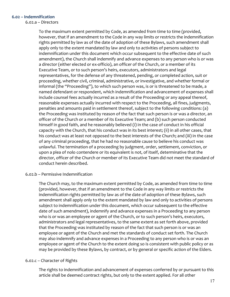## 6.02 – Indemnification

6.02.a – Directors

To the maximum extent permitted by Code, as amended from time to time (provided, however, that if an amendment to the Code in any way limits or restricts the indemnification rights permitted by law as of the date of adoption of these Bylaws, such amendment shall apply only to the extent mandated by law and only to activities of persons subject to indemnification under this document which occur subsequent to the effective date of such amendment), the Church shall indemnify and advance expenses to any person who is or was a director (either elected or ex-officio), an officer of the Church, or a member of its Executive Team, or to such person's heirs, executors, administrators and legal representatives, for the defense of any threatened, pending, or completed action, suit or proceeding, whether civil, criminal, administrative, or investigative, and whether formal or informal (the "Proceeding"), to which such person was, is or is threatened to be made, a named defendant or respondent, which indemnification and advancement of expenses shall include counsel fees actually incurred as a result of the Proceeding or any appeal thereof, reasonable expenses actually incurred with respect to the Proceeding, all fines, judgments, penalties and amounts paid in settlement thereof, subject to the following conditions: (a) the Proceeding was instituted by reason of the fact that such person is or was a director, an officer of the Church or a member of its Executive Team; and (b) such person conducted himself in good faith, and he reasonably believed (i) in the case of conduct in his official capacity with the Church, that his conduct was in its best interest; (ii) in all other cases, that his conduct was at least not opposed to the best interests of the Church; and (iii) in the case of any criminal proceeding, that he had no reasonable cause to believe his conduct was unlawful. The termination of a proceeding by judgment, order, settlement, conviction, or upon a plea of nolo contendere or its equivalent is not, of itself, determinative that the director, officer of the Church or member of its Executive Team did not meet the standard of conduct herein described.

## 6.02.b – Permissive Indemnification

The Church may, to the maximum extent permitted by Code, as amended from time to time (provided, however, that if an amendment to the Code in any way limits or restricts the indemnification rights permitted by law as of the date of adoption of these Bylaws, such amendment shall apply only to the extent mandated by law and only to activities of persons subject to indemnification under this document, which occur subsequent to the effective date of such amendment), indemnify and advance expenses in a Proceeding to any person who is or was an employee or agent of the Church, or to such person's heirs, executors, administrators and legal representatives, to the same extent as set forth above, provided that the Proceeding was instituted by reason of the fact that such person is or was an employee or agent of the Church and met the standards of conduct set forth. The Church may also indemnify and advance expenses in a Proceeding to any person who is or was an employee or agent of the Church to the extent doing so is consistent with public policy or as may be provided by these Bylaws, by contract, or by general or specific action of the Elders.

## 6.02.c – Character of Rights

The rights to indemnification and advancement of expenses conferred by or pursuant to this article shall be deemed contract rights, but only to the extent applied. For all other